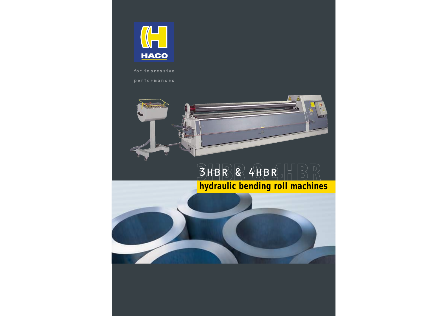

for impressive

performances

 $1.1111$ 

#### $B\overline{R}$  $R$   $4$  $H$  $B$  $R$  $\begin{bmatrix} 1 & 1 \\ 1 & 1 \end{bmatrix}$ **hydraulic bending roll machines**

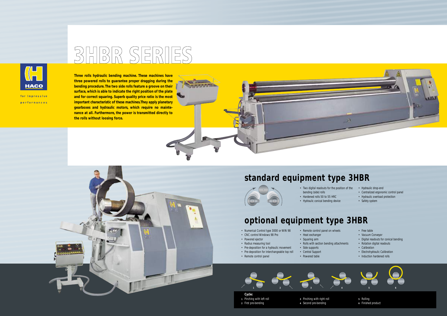

for impressive performances

## **BHBR SERIES**

**REALLY** 



**Three rolls hydraulic bending machine. These machines have three powered rolls to guarantee proper dragging during the bending procedure. The two side rolls feature a groove on their surface, which is able to indicate the right position of the plate and for correct squaring. Superb quality price ratio is the most important characteristic of these machines.They apply planetary gearboxes and hydraulic motors, which require no maintenance at all. Furthermore, the power is transmitted directly to the rolls without loosing force.**

#### **standard equipment type 3HBR**

- Free table
- Vacuum Conveyor
- Digital readouts for conical bending
- Rotation digital readouts
- Calibration
- Electrohydraulic Calibration
- Induction hardened rolls









- Two digital readouts for the position of the bending (side) rolls
- Hardened rolls 50 to 55 HRC
	- Hydraulic conical bending device

### **optional equipment type 3HBR**

- Numerical Control type 3000 or WIN 98
- CNC control Windows 98 Pro
- Powered ejector
- Radius measuring tool
- Pre-deposition for a hydraulic movement
- Pre-deposition for interchangeable top roll
- Remote control panel

• Remote control panel on wheels

• Heat exchanger • Squaring arm

• Rolls with section bending attachments

• Side supports • Central Support • Powered table



- **Cycle: 1** Pinching with left roll **2** First pre-bending
- **3** Pinching with right roll **4** Second pre-bending



**5** Rolling

**6** Finished product

- Hydraulic drop-end
- Centralized ergonomic control panel
- Hydraulic overload protection
- Safety system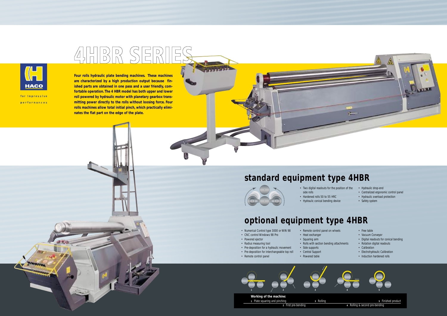## AHBR SERII



for impressive performances

MANIN



**Four rolls hydraulic plate bending machines. These machines are characterized by a high production output because finished parts are obtained in one pass and a user friendly, comfortable operation. The 4 HBR model has both upper and lower roll powered by hydraulic motor with planetary gearbox transmitting power directly to the rolls without loosing force. Four rolls machines allow total initial pinch, which practically eliminates the flat part on the edge of the plate.**



#### **standard equipment type 4HBR**



- Free table
- Vacuum Conveyor
- Digital readouts for conical bending
- Rotation digital readouts
- Calibration
- Electrohydraulic Calibration
- Induction hardened rolls
- Two digital readouts for the position of the side rolls
- Hardened rolls 50 to 55 HRC
- Hydraulic conical bending device

### **optional equipment type 4HBR**

- Numerical Control type 3000 or WIN 98
- CNC control Windows 98 Pro
- Powered ejector
- Radius measuring tool
- Pre-deposition for a hydraulic movement
- Pre-deposition for interchangeable top roll • Remote control panel
	- Central Support • Powered table

• Remote control panel on wheels

• Heat exchanger • Squaring arm

• Rolls with section bending attachments

• Side supports

#### **Working of the machine:**



**2** First pre-bending **4** Rolling & second pre-bending

- Hydraulic drop-end
- Centralized ergonomic control panel
- Hydraulic overload protection
- Safety system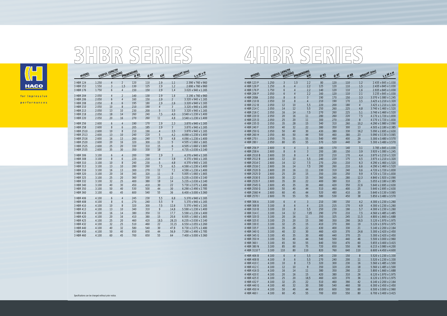

for impressive performances

# BHBR SERIES

| MODEL                              |                                | USEFUL LENGTH<br>BENDING     |                                 | PREBENDING<br>ØRS                     | ØRT |   | KW WEIGHT (ton) |                                                                                                                                                                                                                                     |  |
|------------------------------------|--------------------------------|------------------------------|---------------------------------|---------------------------------------|-----|---|-----------------|-------------------------------------------------------------------------------------------------------------------------------------------------------------------------------------------------------------------------------------|--|
| 3 HBR 124                          | 1.250                          |                              |                                 |                                       |     |   |                 | $4 \dots 2 \dots 120 \dots 110 \dots 2,9 \dots 1,1 \dots 2,390 \times 760 \times 960$                                                                                                                                               |  |
| 3 HBR 153                          | $\sim 1.550$                   |                              |                                 | $3$ $1,5$ $130$ $125$                 |     |   |                 | 2.690 x 760 x 960                                                                                                                                                                                                                   |  |
|                                    |                                |                              |                                 |                                       |     |   |                 |                                                                                                                                                                                                                                     |  |
| 3 HBR 204                          | $\ldots$ 2.050                 |                              |                                 |                                       |     |   |                 | $4 \dots 2 \dots 140 \dots 130 \dots 2,9 \dots 1,6 \dots 3.190 \times 760 \times 960$                                                                                                                                               |  |
| 3 HBR 206                          | 2.050                          |                              |                                 |                                       |     |   |                 | $\frac{6}{4}$ $\frac{4}{160}$ $\frac{160}{150}$ $\frac{150}{29}$ $\frac{2}{120}$ $\frac{2}{1320}$ x 940 x 1.165                                                                                                                     |  |
| 3 HBR 208                          | $\ldots \ldots 2.050$          |                              |                                 |                                       |     |   |                 |                                                                                                                                                                                                                                     |  |
| 3 HBR 210                          |                                |                              |                                 |                                       |     |   |                 |                                                                                                                                                                                                                                     |  |
| 3 HBR 213<br>3 HBR 218             | $2.050$ $13$<br>2.05018        |                              | $\overline{10}$<br>$\ldots$ .14 | 260                                   |     |   |                 | 230 200 5 3,5 3,320 x 940 x 1.165<br>240 $7.5$ $4.0$ $3.540$ x 1.230 x 1.400                                                                                                                                                        |  |
|                                    |                                |                              |                                 |                                       |     |   |                 |                                                                                                                                                                                                                                     |  |
|                                    |                                |                              |                                 |                                       |     |   |                 |                                                                                                                                                                                                                                     |  |
| 3 HBR 256                          | 2.600<br>$\ldots \ldots 2.600$ |                              |                                 |                                       |     |   |                 | $6 \dots 4 \dots 190 \dots 170 \dots 2,9 \dots 2,3 \dots 3.870 \times 940 \times 1.165$<br>$8 \dots 8$ $6 \dots 205$ 185  2,9  3  3.870 x 940 x 1.165                                                                               |  |
| 3 HBR 258<br>3 HBR 2510 2.600 10   |                                |                              | $\sim$ $8$                      |                                       |     |   |                 | 210 190 4 3,5 3,870 x 940 x 1.165                                                                                                                                                                                                   |  |
|                                    |                                |                              |                                 |                                       |     |   |                 |                                                                                                                                                                                                                                     |  |
|                                    |                                |                              |                                 |                                       |     |   |                 |                                                                                                                                                                                                                                     |  |
| 3 HBR 2520  2.600  20              |                                |                              | $\ldots$ .16                    | $320$ $300$ $11$                      |     |   |                 |                                                                                                                                                                                                                                     |  |
| 3 HBR 2525 2.600 25                |                                |                              | $\sim$ 20                       | $330$ $310$ $310$ $15$                |     |   |                 |                                                                                                                                                                                                                                     |  |
|                                    |                                |                              |                                 |                                       |     |   |                 |                                                                                                                                                                                                                                     |  |
| 3 HBR 306                          | $\ldots \ldots \ldots 3.100$   |                              |                                 |                                       |     |   |                 | $6 \dots 4 \dots 200 \dots 190 \dots 2,9 \dots 3 \dots 4.370 \times 940 \times 1.165$                                                                                                                                               |  |
| 3 HBR 308                          | 3.100                          |                              |                                 |                                       |     |   |                 |                                                                                                                                                                                                                                     |  |
| 3 HBR 310                          | 3.100                          | $\cdots$ 10                  | $\overline{\phantom{a}}$ 8      |                                       |     |   |                 | 240 230 5 4,8 4,8 4,370 x 940 x 1.165                                                                                                                                                                                               |  |
| 3 HBR 313                          |                                |                              |                                 |                                       |     |   |                 | $3.100$ $1.230$ $1.400$ $280$ $260$ $7.5$ $6.5$ $4.590$ x 1.230 x 1.400                                                                                                                                                             |  |
| 3 HBR 316                          | $3.100$ $16$ $13$              |                              |                                 |                                       |     |   |                 | $340$ $320$ $11$ $9$ $5.005$ x 1.660 x 1.665                                                                                                                                                                                        |  |
| 3 HBR 320<br>3 HBR 325 3.100 25 20 | $3.100$ $20$ $16$              |                              |                                 |                                       |     |   |                 | $\ldots$ 360 $\ldots$ 330 $\ldots$ 15 $\ldots$ 12 $\ldots$ 5.235 x 2.030 x 2.140                                                                                                                                                    |  |
| 3 HBR 332                          | 3.100                          | $32$ $25$                    |                                 |                                       |     |   |                 | $14$ 400  380  18  14  5.235 x 2.030 x 2.140                                                                                                                                                                                        |  |
| 3 HBR 340                          | 3.100                          | $\ldots$ 40 $\ldots$ 30      |                                 |                                       |     |   |                 | $450$ $410$ $30$ $22$ $5730$ x 2.075 x 2.480                                                                                                                                                                                        |  |
| 3 HBR 350                          | $3.100$ $50$ $3.100$           |                              |                                 |                                       |     |   |                 |                                                                                                                                                                                                                                     |  |
| 3 HBR 360                          | $3.100$ 60 $45$                |                              |                                 |                                       |     |   |                 |                                                                                                                                                                                                                                     |  |
| 3 HBR 406                          | 4.100                          |                              |                                 | $6$ $4$ $245$ $230$                   |     |   |                 | $5.5$ $6.8$ $5.370 \times 940 \times 1.165$                                                                                                                                                                                         |  |
| 3 HBR 408                          | 4.100                          |                              |                                 | $8 \t\t 6 \t\t 270 \t\t 240 \t\t 5,5$ |     |   |                 | $9 \t\t 5.370 \times 940 \times 1.165$                                                                                                                                                                                              |  |
| 3 HBR 410                          |                                |                              |                                 |                                       |     |   |                 |                                                                                                                                                                                                                                     |  |
| 3 HBR 413                          |                                |                              |                                 |                                       |     |   |                 | $4.100$ $1.230 \times 1.400$ $1.600$ $1.400$ $1.600$ $1.600$ $1.600$ $1.600$ $1.600$ $1.600$ $1.600$ $1.600$ $1.600$ $1.600$ $1.600$ $1.600$ $1.600$ $1.600$ $1.600$ $1.600$ $1.600$ $1.600$ $1.600$ $1.600$ $1.600$ $1.600$ $1.60$ |  |
| 3 HBR 416                          | 4.100                          | $\ldots$ .16 $\ldots$ .14    |                                 |                                       |     |   |                 | $\ldots$ 380 $\ldots$ 350 $\ldots$ 11 $\ldots$ 17,7 $\ldots$ 5.590 x 1.230 x 1.400                                                                                                                                                  |  |
| 3 HBR 420                          | $\ldots$ 4.100                 | $\ldots \ldots 20 \ldots 16$ |                                 |                                       |     |   |                 |                                                                                                                                                                                                                                     |  |
| 3 HBR 425<br>3 HBR 432             | $4.100$ $25$ $20$<br>4100      | $\ldots$ 32 $\ldots$ 25      |                                 | $510$ $460$ $32$                      |     | . |                 | $18,5$ $6.235 \times 2.030 \times 2.140$<br>33.15  . 6.550 x 2.055 x 2.260                                                                                                                                                          |  |
| 3 HBR 440                          | 4.100                          | 4032                         |                                 |                                       |     |   |                 |                                                                                                                                                                                                                                     |  |
| 3 HBR 450                          | $4.100$ $50$ $30$              |                              |                                 |                                       |     |   |                 |                                                                                                                                                                                                                                     |  |
| 3 HBR 460                          | $4.100$ $60$ $4.5$             |                              |                                 |                                       |     |   |                 | $1, 700, 650, 650, 64, 64, 7400 \times 3.000 \times 3.360$                                                                                                                                                                          |  |
|                                    |                                |                              |                                 |                                       |     |   |                 |                                                                                                                                                                                                                                     |  |

| $\Box \parallel D \rangle$<br>$\left  \left  \right  D \right  \left  \right $ |  |
|--------------------------------------------------------------------------------|--|
|                                                                                |  |

| $\frac{1}{1}$ (ton)<br>LXWXH     |                             | ISEFUL LENGTH          |                  |                  | 0 <sup>R</sup> |      | OPB            |                  | WEIGHT (ton)                       | LXWXH |
|----------------------------------|-----------------------------|------------------------|------------------|------------------|----------------|------|----------------|------------------|------------------------------------|-------|
| 2.390 x 760 x 960                | 4 HBR 123 P                 | 1.250                  |                  | 2,2              | .80            | .120 | .110           | .1,2             | 2.435 x 845 x 1.030                |       |
| 2.690 x 760 x 960                | 4 HBR 126 P                 | .1.250                 |                  | .2.2             | .125           | .120 | .110           | .1.5             | 2.435 x 845 x 1.030                |       |
| $3.020 \times 940 \times 1.165$  | 4 HBR 176 P                 | 1.750                  |                  | 2,2              | .140           | .120 | .110           | .1,6             | 2.935 x 845 x 1.030                |       |
| .3.190 x 760 x 960               | 4 HBR 206 P                 | .2.050                 |                  | 2.2              | .160           | .120 | .110           | .2.1             | 3.235 x 845 x 1.030                |       |
| 3.320 x 940 x 1.165              | 4 HBR 208A                  | .2.050                 |                  |                  | .190           | .170 | .150           | .3.3             | 3.370 x 1.080 x 1.245              |       |
| .3.320 x 940 x 1.165             | 4 HBR 210 B                 | .2.050<br>.10          |                  |                  | .210           | 190  | .170           | .3.5             | .3.425 x 1.210 x 1.320             |       |
| .3.320 x 940 x 1.165             | 4 HBR 212 B                 | .12<br>.2.050          |                  |                  | .220           | .200 | .180           |                  | .3.425 x 1.210 x 1.320             |       |
| 3.320 x 940 x 1.165              | 4 HBR 214 C                 | .2.050<br>.14          |                  | .5.5             | .250           | .260 | .225           | .4,8             | 3.740 x 1.460 x 1.520              |       |
| 3.540 x 1.230 x 1.400            | 4 HBR 216 C                 | .2.050<br>$.16$ .      |                  | .7,5             | .270           | .260 | .225           | .5,1             | .3.740 x 1.460 x 1.520             |       |
| .3.540 x 1.230 x 1.400           | 4 HBR 220 D                 | .20<br>.2.050          |                  |                  | .280           | .260 | .220           | .7.5             | 4.170 x 1.720 x 1.830              |       |
|                                  | 4 HBR 225 D                 | .25<br>.2.050          | .20              | .11              | .300           | .270 | .230           | $.8\,$           | 4.170 x 1.720 x 1.830              |       |
| .3.870 x 940 x 1.165             | 4 HBR 235 D                 | .35<br>.2.050          | .28              | 15 <sup>2</sup>  | .340           | .310 | .260           | .10,2            | .4.290 x 1.980 x 2.090             |       |
| .3.870 x 940 x 1.165             | 4 HBR 240 F                 | .40<br>.2.050          | 32               | .22              | .380           | .350 | .300           | .13              | .4.505 x 2.180 x 2.385             |       |
| $.3.870 \times 940 \times 1.165$ | 4 HBR 250 G                 | .2.050<br>.50          | .40              | .30              | .430           | .380 | .330           | .16,2            | .5.090 x 2.695 x 2.630             |       |
| .4.090 x 1.230 x 1.400           | 4 HBR 260 H                 | .60<br>.2.050          | .50              | .44              | .500           | .460 | .380           | .23              | 5.090 x 3.130 x 3.065              |       |
| 4.090 x 1.230 x 1.400            | 4 HBR 270 I                 | .2.050<br>.70.         | .55              | .55              | .540           | .490 | .400           | .29              | 5.300 x 3.480 x 3.570              |       |
| 4.505 x 1.660 x 1.665            |                             |                        |                  |                  |                |      | $\ldots$ . 440 | $\ldots$ .34     | 5.300 x 3.480 x 3.570              |       |
| .4.505 x 1.660 x 1.665           | 4 HBR 256 P                 | .2.600                 |                  |                  | .180           | .170 | .140           | .3.1             | 3.785 x 845 x 1.030                |       |
| 4.735 x 2.030 x 2.140            | 4 HBR 258 A                 | .2.600                 |                  |                  | .200           | .180 | .150           | .3.9             | 3.920 x 1.080 x 1.245              |       |
| .4.370 x 940 x 1.165             | 4 HBR 2510 B                | .2.600<br>.10          |                  |                  | .220           | .210 | .170           | .4.4             | .3.975 x 1.210 x 1.320             |       |
| .4.370 x 940 x 1.165             | 4 HBR 2512 B                | .2.600<br>.12          |                  |                  | .240           | .220 | .175           | .4,5             | 3.975 x 1.210 x 1.320              |       |
| .4.370 x 940 x 1.165             | 4 HBR 2514 C                | .2.600<br>.14          |                  | .7.5             | .270           | .250 | .210           | .6.3             | .4.290 x 1.460 x 1.520             |       |
| .4.590 x 1.230 x 1.400           | 4 HBR 2516 C                | .2.600<br>.16          |                  | .7,5             | .280           | .260 | .210           | .6.6             | .4.290 x 1.460 x 1.520             |       |
| .4.590 x 1.230 x 1.400           | 4 HBR 2520 D                | .2.600<br>.20          |                  |                  | .330           | .310 | .240           | .9,6             | 4.720 x 1.720 x 1.830              |       |
| 5.005 x 1.660 x 1.665            | 4 HBR 2525 D                | .25<br>.2.600          | .20              | 15 <sup>15</sup> | .350           | .330 | .250           | .9,9             | .4.720 x 1.720 x 1.830             |       |
| 5.235 x 2.030 x 2.140            | 4 HBR 2530 E                | .30<br>.2.600          | .22              | 15               | .360           | .340 | .280           | .12.3            | .4.840 x 1.920 x 2.090             |       |
| 5.235 x 2.030 x 2.140            | 4 HBR 2535 F                | .35<br>.2.600          | 30               | .22              | .400           | .380 | .310.          | .15              | .5.055 x 2.180 x 2.385             |       |
| .5.730 x 2.075 x 2.480           | 4 HBR 2545 G                | .2.600<br>.45          | .35              | .30              | .460           | .420 | .350           | .22,6            | .5.640 x 2.695 x 2.630             |       |
| 6.290 x 2.490 x 2.785            | 4 HBR 2550 G                | .50<br>.2.600          | .40              | .44              | .510           | .460 | .400           | .25              | .5.640 x 2.695 x 2.630             |       |
| 6.400 x 3.000 x 3.360            | 4 HBR 2560 H                | .60<br>.2.600          | .45              | .44              | .520           | .480 | .410           | .30 <sub>2</sub> | $.5.640 \times 3.130 \times 3.065$ |       |
|                                  | 4 HBR 2570 I                | .2.600<br>.70.         | .55              | .55              | .580           | .530 | .450           | .38              | 5.850 x 3.480 x 3.570              |       |
| .5.370 x 940 x 1.165             |                             |                        |                  |                  |                |      |                |                  |                                    |       |
| .5.370 x 940 x 1.165             | 4 HBR 306 A                 | .3.100                 |                  |                  | .210           | .190 | .150           | .4.2             | .4.300 x 1.230 x 1.260             |       |
| 5.370 x 940 x 1.165              | 4 HBR 308 B                 | .3.100                 |                  |                  | .225           | .215 | .170           | .4.9             | 4.300 x 1.230 x 1.260              |       |
| 5.590 x 1.230 x 1.400            | 4 HBR 310 B                 | .3.100<br>.10          |                  | .5.5             | .250           | .230 | .190           | .5.7             | .4.300 x 1.230 x 1.260             |       |
| 5.590 x 1.230 x 1.400            | 4 HBR 314 C                 | .14<br>.3.100          |                  | .7.05            | .290           | .270 | .210           | .7.5             | .4.560 x 1.485 x 1.485             |       |
| .6.005 x 1.660 x 1.665           | 4 HBR 320 D                 | .3.100<br>.20          | 16               | 11               | .350           | .325 | .245           | .11,5            | .4.800 x 1.660 x 1.688             |       |
| .6.235 x 2.030 x 2.140           | 4 HBR 325 E                 | .25<br>.3.100          | .20              | 15 <sup>2</sup>  | .380           | .350 | .290           | .16,5            | 5.120 x 1.970 x 1.975              |       |
| .6.550 x 2.055 x 2.260           | 4 HBR 330 E                 | .32<br>.3.100          | 25               | 15 <sup>15</sup> | .410           | .370 | .300           | .19              | 5.120 x 1.970 x 1.975              |       |
| 6.730 x 2.075 x 2.480            | 4 HBR 335 F                 | .35<br>.3.100          | .28              | .22              | .430           | .400 | .330           | .21              | 5.140 x 2.200 x 2.164              |       |
| 7.290 x 2.490 x 2.785            | 4 HBR 340 G                 | .40<br>.3.100          | .32              | .30              | .460           | .420 | .370           | .24,6            | 5.300 x 2.420 x 2.450              |       |
| .7.400 x 3.000 x 3.360           | 4 HBR 345 G.                | .3.100.<br>.45.        | .35              | .30              | .480           | .440 | .370           | .25              | 5.300 x 2.420 x 2.450              |       |
|                                  | 4 HBR 350 H.                | .50.<br>$.3.100$ .     | .40.             | . 44 .           | .540           | .500 | .440.          | .46              | .5.500 x 3.000 x 2.960             |       |
|                                  | 4 HBR 360 L                 | .65<br>.3.100          | .50 <sub>0</sub> | .55              | .640           | .550 | .470           | .60              | .5.655 x 3.400 x 3.415             |       |
|                                  | 4 HBR 380 N                 | .85<br>.3.100          | .60              | .75              | .720           | .650 | .550           | .90              | .6.215 x 3.980 x 4.200             |       |
|                                  | 4 HBR 3110 T                | .3.100<br>$\dots$ 110. | .80              | $\ldots$ 110.    | .820           | 760  | .640           | .110             | $.6.600 \times 4.450 \times 4.600$ |       |
|                                  | 4 HBR 406 B                 | .4.100<br>6            |                  | .5,5             | .245           | .230 | .150           | 8.5              | .5.520 x 1.230 x 1.330             |       |
|                                  | 4 HBR 408 B                 | .4.100<br>.8           | $6^{\circ}$      | .5,5             | .270           | .240 | .200.          | 111              | .5.520 x 1.230 x 1.330             |       |
|                                  | 4 HBR 410 C                 | .4.100<br>.10          | .8               | .7,5             | .320           | .300 | .230           | .16              | .5.560 x 1.485 x 1.500             |       |
|                                  | 4 HBR 412 C                 | $.4.100$ .<br>.12.     | 10 <sup>°</sup>  | Q                | .350           | .320 | .230           | . .18            | .5.560 x 1.485 x 1.500             |       |
|                                  | 4 HBR 416 D                 | .16.<br>$.4.100$ .     | .14              | .11.             | .380           | .350 | .290           | 22               | .5.800 x 1.660 x 1.688             |       |
|                                  | 4 HBR 420 E                 | .20.<br>.4.100         | $\ldots$ .16.    | .15.             | .420           | .380 | .310           | .26              | 6.120 x 1.970 x 1.975              |       |
|                                  | 4 HBR 425 E                 | .25<br>.4.100          | 20               | .18,5            | .460           | .420 | .370           | .36              | $.6.120 \times 1.970 \times 1.975$ |       |
|                                  | 4 HBR 432 F                 | .32.<br>$.4.100$ .     | .25              | .22.             | .510           | 460  | .390           | .42              | $.6.140 \times 2.200 \times 2.164$ |       |
|                                  |                             | $.40$ .<br>$.4.100$ .  | .32.             | .30              | .580           | .540 | .460           | .58              | .6.300 x 2.450 x 2.450             |       |
|                                  | 4 HBR 440 G.<br>4 HBR 450 H | .50.<br>$.4.100$ .     | .40              | .44              | .650           | 600  | .500           | .69              | .6.500 x 3.000 x 2.960             |       |
|                                  |                             |                        |                  |                  |                |      |                |                  |                                    |       |
|                                  | 4 HBR 460 L.                | $.4.100$ .<br>.60.     | . 45             | .55              | .700.          | .650 | .550           | .80              | 6.700 x 3.400 x 3.415              |       |

IES